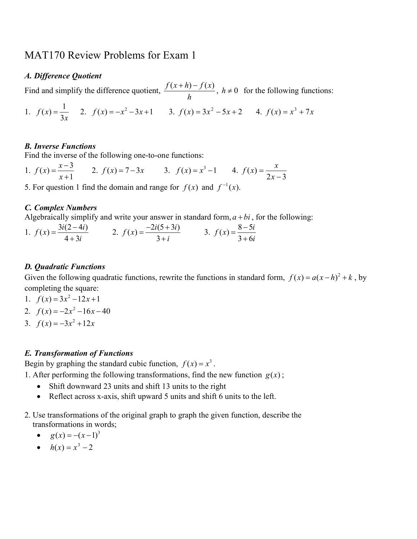# MAT170 Review Problems for Exam 1

#### A. Difference Quotient

Find and simplify the difference quotient,  $\frac{f(x+h)-f(x)}{h}$ , h  $\frac{+h)-f(x)}{h}$ ,  $h \neq 0$  for the following functions:

1. 
$$
f(x) = \frac{1}{3x}
$$
 2.  $f(x) = -x^2 - 3x + 1$  3.  $f(x) = 3x^2 - 5x + 2$  4.  $f(x) = x^3 + 7x$ 

# B. Inverse Functions

Find the inverse of the following one-to-one functions:

1.  $f(x) = \frac{x-3}{1}$ 1  $f(x) = \frac{x}{x}$ x  $=\frac{x-1}{x-1}$ + 2.  $f(x) = 7-3x$  3.  $f(x) = x^3-1$  4.  $2x - 3$  $\left( x\right)$ − = x  $f(x) = \frac{x}{2}$ 

5. For question 1 find the domain and range for  $f(x)$  and  $f^{-1}(x)$ .

# C. Complex Numbers

Algebraically simplify and write your answer in standard form,  $a + bi$ , for the following:

1. 
$$
f(x) = \frac{3i(2-4i)}{4+3i}
$$
 2.  $f(x) = \frac{-2i(5+3i)}{3+i}$  3.  $f(x) = \frac{8-5i}{3+6i}$ 

#### D. Quadratic Functions

Given the following quadratic functions, rewrite the functions in standard form,  $f(x) = a(x-h)^2 + k$ , by completing the square:

- 1.  $f(x) = 3x^2 12x + 1$
- 2.  $f(x) = -2x^2 16x 40$
- 3.  $f(x) = -3x^2 + 12x$

#### E. Transformation of Functions

Begin by graphing the standard cubic function,  $f(x) = x^3$ .

1. After performing the following transformations, find the new function  $g(x)$ ;

- Shift downward 23 units and shift 13 units to the right
- Reflect across x-axis, shift upward 5 units and shift 6 units to the left.
- 2. Use transformations of the original graph to graph the given function, describe the transformations in words;

$$
\bullet \qquad g(x) = -(x-1)^3
$$

•  $h(x) = x^3 - 2$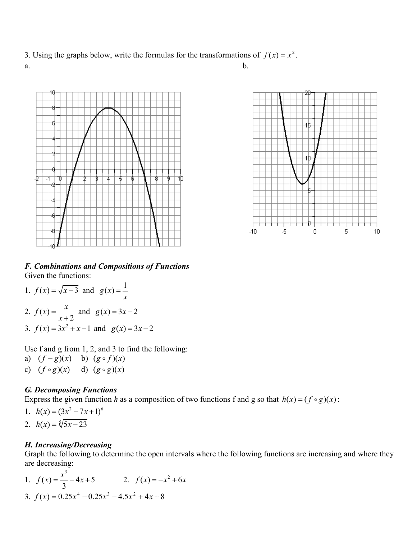3. Using the graphs below, write the formulas for the transformations of  $f(x) = x^2$ . a.  $\mathbf{b}$ .







F. Combinations and Compositions of Functions Given the functions:

1.  $f(x) = \sqrt{x-3}$  and  $g(x) = \frac{1}{x-3}$ x = 2.  $f(x)$ 2  $f(x) = \frac{x}{x}$ x = + and  $g(x) = 3x - 2$ 3.  $f(x) = 3x^2 + x - 1$  and  $g(x) = 3x - 2$ 

Use f and g from 1, 2, and 3 to find the following:

- a)  $(f g)(x)$  b)  $(g \circ f)(x)$
- c)  $(f \circ g)(x)$  d)  $(g \circ g)(x)$

# G. Decomposing Functions

Express the given function h as a composition of two functions f and g so that  $h(x) = (f \circ g)(x)$ :

1. 
$$
h(x) = (3x^2 - 7x + 1)^6
$$
  
2.  $h(x) = \sqrt[5]{5x - 23}$ 

# H. Increasing/Decreasing

Graph the following to determine the open intervals where the following functions are increasing and where they are decreasing:

1. 
$$
f(x) = \frac{x^3}{3} - 4x + 5
$$
  
\n2.  $f(x) = -x^2 + 6x$   
\n3.  $f(x) = 0.25x^4 - 0.25x^3 - 4.5x^2 + 4x + 8$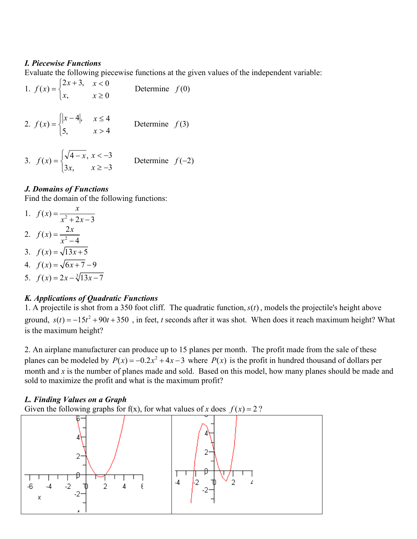#### I. Piecewise Functions

Evaluate the following piecewise functions at the given values of the independent variable:

- 1.  $\overline{\mathcal{L}}$ ⇃  $=\int 2x +$ ,  $2x + 3$ ,  $\left( x\right)$ x x  $f(x) = \left\{ \begin{matrix} -x^2 + y^2 \\ y^2 + z^2 \end{matrix} \right\}$ 0 0 ≥  $\lt$ x x Determine  $f(0)$
- 2.  $\overline{\mathcal{L}}$ ⇃  $\int |x -$ = ,5 4,  $\left( x\right)$ x  $f(x) = \left\{ \begin{matrix} |x| & |x| \\ 1 & |x| \end{matrix} \right\}$ 4 4 > ≤ x x Determine  $f(3)$
- 3.  $\overline{\mathcal{L}}$ ⇃  $=\sqrt[3]{4}$  $3x,$  $f(x) = \begin{cases} \sqrt{4-x}, \\ 1, \end{cases}$ x  $f(x) = \begin{cases} \sqrt{4-x} & x \end{cases}$ 3 3 ≥ −  $\lt$   $$ x x Determine  $f(-2)$

# J. Domains of Functions

Find the domain of the following functions:

- 1.  $f(x) = \frac{1}{x^2}$  $2x - 3$  $f(x) = \frac{x}{x^2-2}$  $x^2 + 2x$ =  $+2x-$ 2.  $f(x) = \frac{2}{x^2}$ 4  $f(x) = \frac{2x}{2}$ x = − 3.  $f(x) = \sqrt{13x+5}$ 4.  $f(x) = \sqrt{6x+7} - 9$
- 5.  $f(x) = 2x \sqrt[3]{13x 7}$

#### K. Applications of Quadratic Functions

1. A projectile is shot from a 350 foot cliff. The quadratic function,  $s(t)$ , models the projectile's height above ground,  $s(t) = -15t^2 + 90t + 350$ , in feet, t seconds after it was shot. When does it reach maximum height? What is the maximum height?

2. An airplane manufacturer can produce up to 15 planes per month. The profit made from the sale of these planes can be modeled by  $P(x) = -0.2x^2 + 4x - 3$  where  $P(x)$  is the profit in hundred thousand of dollars per month and  $x$  is the number of planes made and sold. Based on this model, how many planes should be made and sold to maximize the profit and what is the maximum profit?

#### L. Finding Values on a Graph

Given the following graphs for f(x), for what values of x does  $f(x) = 2$ ?

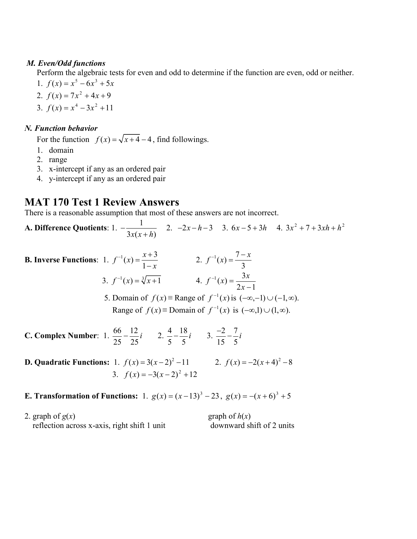#### M. Even/Odd functions

Perform the algebraic tests for even and odd to determine if the function are even, odd or neither.

- 1.  $f(x) = x^5 6x^3 + 5x$
- 2.  $f(x) = 7x^2 + 4x + 9$
- 3.  $f(x) = x^4 3x^2 + 11$

# N. Function behavior

For the function  $f(x) = \sqrt{x+4} - 4$ , find followings.

- 1. domain
- 2. range
- 3. x-intercept if any as an ordered pair
- 4. y-intercept if any as an ordered pair

# MAT 170 Test 1 Review Answers

There is a reasonable assumption that most of these answers are not incorrect.

A. Difference Quotients: 1.  $-\frac{1}{2}$  $3x(x+h)$ − + 2.  $-2x-h-3$  3.  $6x-5+3h$  4.  $3x^2+7+3xh+h^2$ 

| <b>B. Inverse Functions</b> : 1. $f^{-1}(x) = \frac{x+3}{1-x}$ |                                | 2. $f^{-1}(x) = \frac{7-x}{3}$                                                         |
|----------------------------------------------------------------|--------------------------------|----------------------------------------------------------------------------------------|
|                                                                | 3. $f^{-1}(x) = \sqrt[3]{x+1}$ | 4. $f^{-1}(x) = \frac{3x}{2x-1}$                                                       |
|                                                                |                                | 5. Domain of $f(x) \equiv$ Range of $f^{-1}(x)$ is $(-\infty, -1) \cup (-1, \infty)$ . |
|                                                                |                                | Range of $f(x) \equiv$ Domain of $f^{-1}(x)$ is $(-\infty,1) \cup (1,\infty)$ .        |
|                                                                |                                |                                                                                        |

- C. Complex Number: 1.  $\frac{80}{25} \frac{12}{25}i$ 25 12 25  $\frac{66}{25} - \frac{12}{25}i$  2.  $\frac{4}{5} - \frac{18}{5}$ 5 5  $-\frac{18}{5}i$  3.  $\frac{-2}{15} - \frac{7}{5}i$ 15 5 i  $\frac{-2}{15} - \frac{7}{5}i$
- **D. Quadratic Functions:** 1.  $f(x) = 3(x-2)^2 11$  <br>2.  $f(x) = -2(x+4)^2 8$ 3.  $f(x) = -3(x-2)^2 +12$
- **E. Transformation of Functions:** 1.  $g(x) = (x-13)^3 23$ ,  $g(x) = -(x+6)^3 + 5$

| 2. graph of $g(x)$                           | graph of $h(x)$           |
|----------------------------------------------|---------------------------|
| reflection across x-axis, right shift 1 unit | downward shift of 2 units |